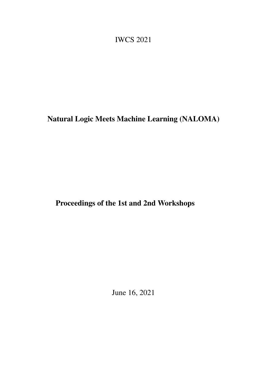<span id="page-0-0"></span>IWCS 2021

Natural Logic Meets Machine Learning (NALOMA)

Proceedings of the 1st and 2nd Workshops

June 16, 2021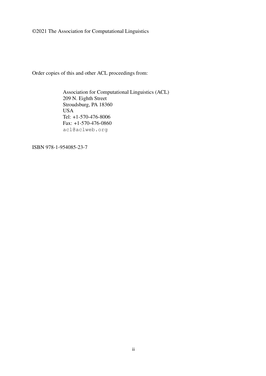©2021 The Association for Computational Linguistics

Order copies of this and other ACL proceedings from:

Association for Computational Linguistics (ACL) 209 N. Eighth Street Stroudsburg, PA 18360 USA Tel: +1-570-476-8006 Fax: +1-570-476-0860 acl@aclweb.org

ISBN 978-1-954085-23-7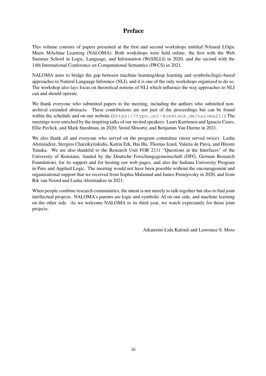## Preface

This volume consists of papers presented at the first and second workshops entitled NAtural LOgic Meets MAchine Learning (NALOMA). Both workshops were held online; the first with the Web Summer School in Logic, Language, and Information (WeSSLLI) in 2020, and the second with the 14th International Conference on Computational Semantics (IWCS) in 2021.

NALOMA aims to bridge the gap between machine learning/deep learning and symbolic/logic-based approaches to Natural Language Inference (NLI), and it is one of the only workshops organized to do so. The workshop also lays focus on theoretical notions of NLI which influence the way approaches to NLI can and should operate.

We thank everyone who submitted papers to the meeting, including the authors who submitted nonarchival extended abstracts. These contributions are not part of the proceedings but can be found within the schedule and on our website (https://typo.uni-konstanz.de/naloma21/) The meetings were enriched by the inspiring talks of our invited speakers: Lauri Karttunen and Ignacio Cases, Ellie Pavlick, and Mark Steedman, in 2020; Vered Shwartz, and Benjamin Van Durme in 2021.

We also thank all and everyone who served on the program committee (most served twice): Lasha Abziniadize, Stergios Chatzikyriakidis, Katrin Erk, Hai Hu, Thomas Icard, Valeria de Paiva, and Hitomi Yanaka. We are also thankful to the Research Unit FOR 2111 "Questions at the Interfaces" of the University of Konstanz, funded by the Deutsche Forschungsgemeinschaft (DFG, German Research Foundation), for its support and for hosting our web pages, and also the Indiana University Program in Pure and Applied Logic. The meeting would not have been possible without the encouragement and organizational support that we received from Sophia Malamud and James Pustejovsky in 2020, and from Rik van Noord and Lasha Abziniadize in 2021.

When people combine research communities, the intent is not merely to talk together but also to find joint intellectual projects. NALOMA's parents are logic and symbolic AI on one side, and machine learning on the other side. As we welcome NALOMA to its third year, we watch expectantly for those joint projects.

Aikaterini-Lida Kalouli and Lawrence S. Moss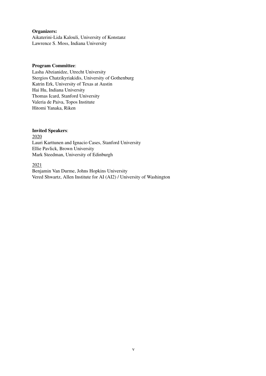#### Organizers:

Aikaterini-Lida Kalouli, University of Konstanz Lawrence S. Moss, Indiana University

#### Program Committee:

Lasha Abzianidze, Utrecht University Stergios Chatzikyriakidis, University of Gothenburg Katrin Erk, University of Texas at Austin Hai Hu, Indiana University Thomas Icard, Stanford University Valeria de Paiva, Topos Institute Hitomi Yanaka, Riken

#### Invited Speakers:

2020 Lauri Karttunen and Ignacio Cases, Stanford University Ellie Pavlick, Brown University Mark Steedman, University of Edinburgh

#### 2021

Benjamin Van Durme, Johns Hopkins University Vered Shwartz, Allen Institute for AI (AI2) / University of Washington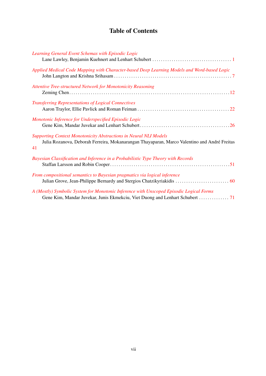## Table of Contents

| Learning General Event Schemas with Episodic Logic                                                                                                                             |
|--------------------------------------------------------------------------------------------------------------------------------------------------------------------------------|
| Applied Medical Code Mapping with Character-based Deep Learning Models and Word-based Logic                                                                                    |
| <b>Attentive Tree-structured Network for Monotonicity Reasoning</b>                                                                                                            |
| <b>Transferring Representations of Logical Connectives</b>                                                                                                                     |
| Monotonic Inference for Underspecified Episodic Logic                                                                                                                          |
| <b>Supporting Context Monotonicity Abstractions in Neural NLI Models</b><br>Julia Rozanova, Deborah Ferreira, Mokanarangan Thayaparan, Marco Valentino and André Freitas<br>41 |
| Bayesian Classification and Inference in a Probabilistic Type Theory with Records                                                                                              |
| From compositional semantics to Bayesian pragmatics via logical inference<br>Julian Grove, Jean-Philippe Bernardy and Stergios Chatzikyriakidis  60                            |
| A (Mostly) Symbolic System for Monotonic Inference with Unscoped Episodic Logical Forms                                                                                        |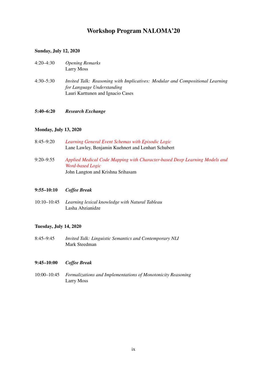## Workshop Program NALOMA'20

#### Sunday, July 12, 2020

- 4:20–4:30 *Opening Remarks* Larry Moss
- 4:30–5:30 *Invited Talk: Reasoning with Implicatives: Modular and Compositional Learning for Language Understanding* Lauri Karttunen and Ignacio Cases
- 5:40–6:20 *Research Exchange*

#### Monday, July 13, 2020

8:45–9:20 *[Learning General Event Schemas with Episodic Logic](#page-0-0)* Lane Lawley, Benjamin Kuehnert and Lenhart Schubert 9:20–9:55 *[Applied Medical Code Mapping with Character-based Deep Learning Models and](#page-0-0) [Word-based Logic](#page-0-0)* John Langton and Krishna Srihasam

#### 9:55–10:10 *Coffee Break*

10:10–10:45 *Learning lexical knowledge with Natural Tableau* Lasha Abzianidze

#### Tuesday, July 14, 2020

8:45–9:45 *Invited Talk: Linguistic Semantics and Contemporary NLI* Mark Steedman

#### 9:45–10:00 *Coffee Break*

10:00–10:45 *Formalizations and Implementations of Monotonicity Reasoning* Larry Moss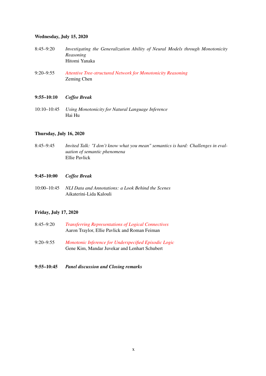#### Wednesday, July 15, 2020

- 8:45–9:20 *Investigating the Generalization Ability of Neural Models through Monotonicity Reasoning* Hitomi Yanaka
- 9:20–9:55 *[Attentive Tree-structured Network for Monotonicity Reasoning](#page-0-0)* Zeming Chen

#### 9:55–10:10 *Coffee Break*

10:10–10:45 *Using Monotonicity for Natural Language Inference* Hai Hu

#### Thursday, July 16, 2020

8:45–9:45 *Invited Talk: "I don't know what you mean" semantics is hard: Challenges in evaluation of semantic phenomena* Ellie Pavlick

#### 9:45–10:00 *Coffee Break*

10:00–10:45 *NLI Data and Annotations: a Look Behind the Scenes* Aikaterini-Lida Kalouli

#### Friday, July 17, 2020

- 8:45–9:20 *[Transferring Representations of Logical Connectives](#page-0-0)* Aaron Traylor, Ellie Pavlick and Roman Feiman
- 9:20–9:55 *[Monotonic Inference for Underspecified Episodic Logic](#page-0-0)* Gene Kim, Mandar Juvekar and Lenhart Schubert
- 9:55–10:45 *Panel discussion and Closing remarks*